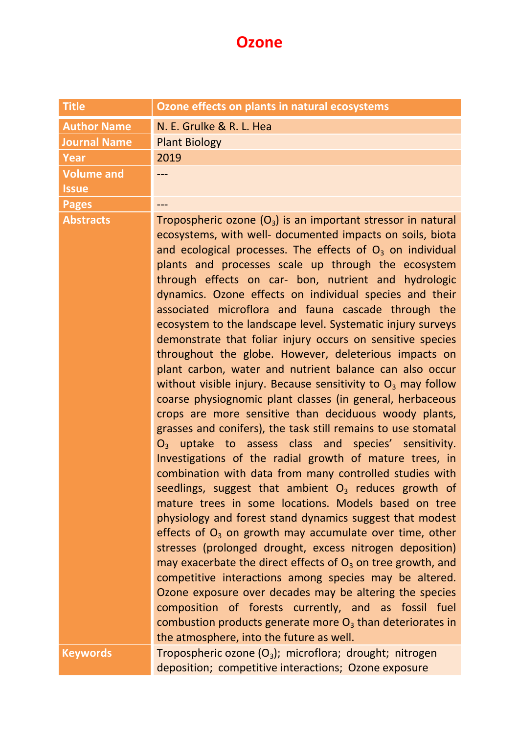## **Ozone**

| <b>Title</b>                      | Ozone effects on plants in natural ecosystems                                                                                                                                                                                                                                                                                                                                                                                                                                                                                                                                                                                                                                                                                                                                                                                                                                                                                                                                                                                                                                                                                                                                                                                                                                                                                                                                                                                                                                                                                                                                                                                                                                                                                                                                              |
|-----------------------------------|--------------------------------------------------------------------------------------------------------------------------------------------------------------------------------------------------------------------------------------------------------------------------------------------------------------------------------------------------------------------------------------------------------------------------------------------------------------------------------------------------------------------------------------------------------------------------------------------------------------------------------------------------------------------------------------------------------------------------------------------------------------------------------------------------------------------------------------------------------------------------------------------------------------------------------------------------------------------------------------------------------------------------------------------------------------------------------------------------------------------------------------------------------------------------------------------------------------------------------------------------------------------------------------------------------------------------------------------------------------------------------------------------------------------------------------------------------------------------------------------------------------------------------------------------------------------------------------------------------------------------------------------------------------------------------------------------------------------------------------------------------------------------------------------|
| <b>Author Name</b>                | N. E. Grulke & R. L. Hea                                                                                                                                                                                                                                                                                                                                                                                                                                                                                                                                                                                                                                                                                                                                                                                                                                                                                                                                                                                                                                                                                                                                                                                                                                                                                                                                                                                                                                                                                                                                                                                                                                                                                                                                                                   |
| <b>Journal Name</b>               | <b>Plant Biology</b>                                                                                                                                                                                                                                                                                                                                                                                                                                                                                                                                                                                                                                                                                                                                                                                                                                                                                                                                                                                                                                                                                                                                                                                                                                                                                                                                                                                                                                                                                                                                                                                                                                                                                                                                                                       |
| Year                              | 2019                                                                                                                                                                                                                                                                                                                                                                                                                                                                                                                                                                                                                                                                                                                                                                                                                                                                                                                                                                                                                                                                                                                                                                                                                                                                                                                                                                                                                                                                                                                                                                                                                                                                                                                                                                                       |
| <b>Volume and</b><br><b>Issue</b> |                                                                                                                                                                                                                                                                                                                                                                                                                                                                                                                                                                                                                                                                                                                                                                                                                                                                                                                                                                                                                                                                                                                                                                                                                                                                                                                                                                                                                                                                                                                                                                                                                                                                                                                                                                                            |
| <b>Pages</b>                      | ---                                                                                                                                                                                                                                                                                                                                                                                                                                                                                                                                                                                                                                                                                                                                                                                                                                                                                                                                                                                                                                                                                                                                                                                                                                                                                                                                                                                                                                                                                                                                                                                                                                                                                                                                                                                        |
| <b>Abstracts</b>                  | Tropospheric ozone $(O_3)$ is an important stressor in natural<br>ecosystems, with well- documented impacts on soils, biota<br>and ecological processes. The effects of $O3$ on individual<br>plants and processes scale up through the ecosystem<br>through effects on car- bon, nutrient and hydrologic<br>dynamics. Ozone effects on individual species and their<br>associated microflora and fauna cascade through the<br>ecosystem to the landscape level. Systematic injury surveys<br>demonstrate that foliar injury occurs on sensitive species<br>throughout the globe. However, deleterious impacts on<br>plant carbon, water and nutrient balance can also occur<br>without visible injury. Because sensitivity to $O_3$ may follow<br>coarse physiognomic plant classes (in general, herbaceous<br>crops are more sensitive than deciduous woody plants,<br>grasses and conifers), the task still remains to use stomatal<br>$O_3$ uptake to assess class and species' sensitivity.<br>Investigations of the radial growth of mature trees, in<br>combination with data from many controlled studies with<br>seedlings, suggest that ambient $O_3$ reduces growth of<br>mature trees in some locations. Models based on tree<br>physiology and forest stand dynamics suggest that modest<br>effects of $O_3$ on growth may accumulate over time, other<br>stresses (prolonged drought, excess nitrogen deposition)<br>may exacerbate the direct effects of $O_3$ on tree growth, and<br>competitive interactions among species may be altered.<br>Ozone exposure over decades may be altering the species<br>composition of forests currently, and as fossil fuel<br>combustion products generate more $O_3$ than deteriorates in<br>the atmosphere, into the future as well. |
| <b>Keywords</b>                   | Tropospheric ozone $(O_3)$ ; microflora; drought; nitrogen                                                                                                                                                                                                                                                                                                                                                                                                                                                                                                                                                                                                                                                                                                                                                                                                                                                                                                                                                                                                                                                                                                                                                                                                                                                                                                                                                                                                                                                                                                                                                                                                                                                                                                                                 |
|                                   | deposition; competitive interactions; Ozone exposure                                                                                                                                                                                                                                                                                                                                                                                                                                                                                                                                                                                                                                                                                                                                                                                                                                                                                                                                                                                                                                                                                                                                                                                                                                                                                                                                                                                                                                                                                                                                                                                                                                                                                                                                       |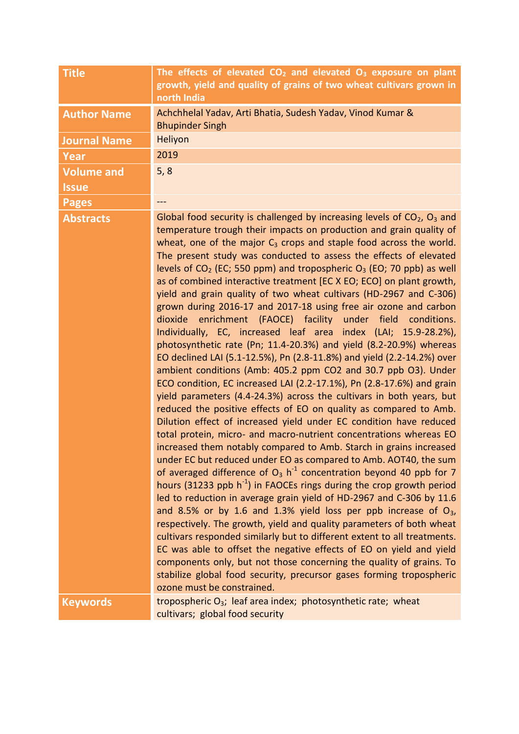| <b>Title</b>        | The effects of elevated $CO2$ and elevated $O3$ exposure on plant<br>growth, yield and quality of grains of two wheat cultivars grown in<br>north India                                                                                                                                                                                                                                                                                                                                                                                                                                                                                                                                                                                                                                                                                                                                                                                                                                                                                                                                                                                                                                                                                                                                                                                                                                                                                                                                                                                                                                                                                                                                                                                                                                                                                                                                                                                                                                                                                                                                                                                                                               |
|---------------------|---------------------------------------------------------------------------------------------------------------------------------------------------------------------------------------------------------------------------------------------------------------------------------------------------------------------------------------------------------------------------------------------------------------------------------------------------------------------------------------------------------------------------------------------------------------------------------------------------------------------------------------------------------------------------------------------------------------------------------------------------------------------------------------------------------------------------------------------------------------------------------------------------------------------------------------------------------------------------------------------------------------------------------------------------------------------------------------------------------------------------------------------------------------------------------------------------------------------------------------------------------------------------------------------------------------------------------------------------------------------------------------------------------------------------------------------------------------------------------------------------------------------------------------------------------------------------------------------------------------------------------------------------------------------------------------------------------------------------------------------------------------------------------------------------------------------------------------------------------------------------------------------------------------------------------------------------------------------------------------------------------------------------------------------------------------------------------------------------------------------------------------------------------------------------------------|
| <b>Author Name</b>  | Achchhelal Yadav, Arti Bhatia, Sudesh Yadav, Vinod Kumar &<br><b>Bhupinder Singh</b>                                                                                                                                                                                                                                                                                                                                                                                                                                                                                                                                                                                                                                                                                                                                                                                                                                                                                                                                                                                                                                                                                                                                                                                                                                                                                                                                                                                                                                                                                                                                                                                                                                                                                                                                                                                                                                                                                                                                                                                                                                                                                                  |
| <b>Journal Name</b> | Heliyon                                                                                                                                                                                                                                                                                                                                                                                                                                                                                                                                                                                                                                                                                                                                                                                                                                                                                                                                                                                                                                                                                                                                                                                                                                                                                                                                                                                                                                                                                                                                                                                                                                                                                                                                                                                                                                                                                                                                                                                                                                                                                                                                                                               |
| Year                | 2019                                                                                                                                                                                                                                                                                                                                                                                                                                                                                                                                                                                                                                                                                                                                                                                                                                                                                                                                                                                                                                                                                                                                                                                                                                                                                                                                                                                                                                                                                                                                                                                                                                                                                                                                                                                                                                                                                                                                                                                                                                                                                                                                                                                  |
| <b>Volume and</b>   | 5, 8                                                                                                                                                                                                                                                                                                                                                                                                                                                                                                                                                                                                                                                                                                                                                                                                                                                                                                                                                                                                                                                                                                                                                                                                                                                                                                                                                                                                                                                                                                                                                                                                                                                                                                                                                                                                                                                                                                                                                                                                                                                                                                                                                                                  |
| <b>Issue</b>        |                                                                                                                                                                                                                                                                                                                                                                                                                                                                                                                                                                                                                                                                                                                                                                                                                                                                                                                                                                                                                                                                                                                                                                                                                                                                                                                                                                                                                                                                                                                                                                                                                                                                                                                                                                                                                                                                                                                                                                                                                                                                                                                                                                                       |
| <b>Pages</b>        | $\frac{1}{2}$                                                                                                                                                                                                                                                                                                                                                                                                                                                                                                                                                                                                                                                                                                                                                                                                                                                                                                                                                                                                                                                                                                                                                                                                                                                                                                                                                                                                                                                                                                                                                                                                                                                                                                                                                                                                                                                                                                                                                                                                                                                                                                                                                                         |
| <b>Abstracts</b>    | Global food security is challenged by increasing levels of $CO2$ , $O3$ and<br>temperature trough their impacts on production and grain quality of<br>wheat, one of the major $C_3$ crops and staple food across the world.<br>The present study was conducted to assess the effects of elevated<br>levels of $CO2$ (EC; 550 ppm) and tropospheric $O3$ (EO; 70 ppb) as well<br>as of combined interactive treatment [EC X EO; ECO] on plant growth,<br>yield and grain quality of two wheat cultivars (HD-2967 and C-306)<br>grown during 2016-17 and 2017-18 using free air ozone and carbon<br>dioxide enrichment (FAOCE) facility under field conditions.<br>Individually, EC, increased leaf area index (LAI; 15.9-28.2%),<br>photosynthetic rate (Pn; 11.4-20.3%) and yield (8.2-20.9%) whereas<br>EO declined LAI (5.1-12.5%), Pn (2.8-11.8%) and yield (2.2-14.2%) over<br>ambient conditions (Amb: 405.2 ppm CO2 and 30.7 ppb O3). Under<br>ECO condition, EC increased LAI (2.2-17.1%), Pn (2.8-17.6%) and grain<br>yield parameters (4.4-24.3%) across the cultivars in both years, but<br>reduced the positive effects of EO on quality as compared to Amb.<br>Dilution effect of increased yield under EC condition have reduced<br>total protein, micro- and macro-nutrient concentrations whereas EO<br>increased them notably compared to Amb. Starch in grains increased<br>under EC but reduced under EO as compared to Amb. AOT40, the sum<br>of averaged difference of $O_3$ h <sup>-1</sup> concentration beyond 40 ppb for 7<br>hours (31233 ppb $h^{-1}$ ) in FAOCEs rings during the crop growth period<br>led to reduction in average grain yield of HD-2967 and C-306 by 11.6<br>and 8.5% or by 1.6 and 1.3% yield loss per ppb increase of $O_3$ ,<br>respectively. The growth, yield and quality parameters of both wheat<br>cultivars responded similarly but to different extent to all treatments.<br>EC was able to offset the negative effects of EO on yield and yield<br>components only, but not those concerning the quality of grains. To<br>stabilize global food security, precursor gases forming tropospheric<br>ozone must be constrained. |
| <b>Keywords</b>     | tropospheric O <sub>3</sub> ; leaf area index; photosynthetic rate; wheat<br>cultivars; global food security                                                                                                                                                                                                                                                                                                                                                                                                                                                                                                                                                                                                                                                                                                                                                                                                                                                                                                                                                                                                                                                                                                                                                                                                                                                                                                                                                                                                                                                                                                                                                                                                                                                                                                                                                                                                                                                                                                                                                                                                                                                                          |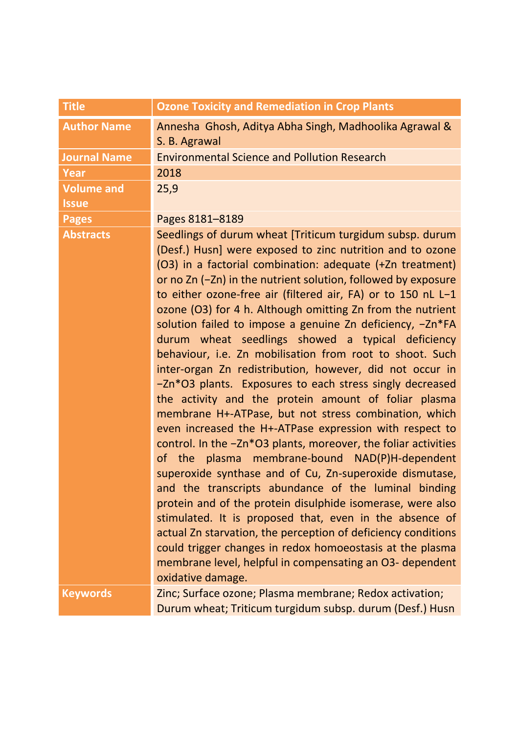| <b>Title</b>        | <b>Ozone Toxicity and Remediation in Crop Plants</b>                                                                                                                                                                                                                                                                                                                                                                                                                                                                                                                                                                                                                                                                                                                                                                                                                                                                                                                                                                                                                                                                                                                                                                                                                                                                                                                                                                          |
|---------------------|-------------------------------------------------------------------------------------------------------------------------------------------------------------------------------------------------------------------------------------------------------------------------------------------------------------------------------------------------------------------------------------------------------------------------------------------------------------------------------------------------------------------------------------------------------------------------------------------------------------------------------------------------------------------------------------------------------------------------------------------------------------------------------------------------------------------------------------------------------------------------------------------------------------------------------------------------------------------------------------------------------------------------------------------------------------------------------------------------------------------------------------------------------------------------------------------------------------------------------------------------------------------------------------------------------------------------------------------------------------------------------------------------------------------------------|
| <b>Author Name</b>  | Annesha Ghosh, Aditya Abha Singh, Madhoolika Agrawal &<br>S. B. Agrawal                                                                                                                                                                                                                                                                                                                                                                                                                                                                                                                                                                                                                                                                                                                                                                                                                                                                                                                                                                                                                                                                                                                                                                                                                                                                                                                                                       |
| <b>Journal Name</b> | <b>Environmental Science and Pollution Research</b>                                                                                                                                                                                                                                                                                                                                                                                                                                                                                                                                                                                                                                                                                                                                                                                                                                                                                                                                                                                                                                                                                                                                                                                                                                                                                                                                                                           |
| <b>Year</b>         | 2018                                                                                                                                                                                                                                                                                                                                                                                                                                                                                                                                                                                                                                                                                                                                                                                                                                                                                                                                                                                                                                                                                                                                                                                                                                                                                                                                                                                                                          |
| <b>Volume and</b>   | 25,9                                                                                                                                                                                                                                                                                                                                                                                                                                                                                                                                                                                                                                                                                                                                                                                                                                                                                                                                                                                                                                                                                                                                                                                                                                                                                                                                                                                                                          |
| <b>Issue</b>        |                                                                                                                                                                                                                                                                                                                                                                                                                                                                                                                                                                                                                                                                                                                                                                                                                                                                                                                                                                                                                                                                                                                                                                                                                                                                                                                                                                                                                               |
| <b>Pages</b>        | Pages 8181-8189                                                                                                                                                                                                                                                                                                                                                                                                                                                                                                                                                                                                                                                                                                                                                                                                                                                                                                                                                                                                                                                                                                                                                                                                                                                                                                                                                                                                               |
| <b>Abstracts</b>    | Seedlings of durum wheat [Triticum turgidum subsp. durum<br>(Desf.) Husn] were exposed to zinc nutrition and to ozone<br>(O3) in a factorial combination: adequate (+Zn treatment)<br>or no Zn (-Zn) in the nutrient solution, followed by exposure<br>to either ozone-free air (filtered air, FA) or to 150 nL L-1<br>ozone (O3) for 4 h. Although omitting Zn from the nutrient<br>solution failed to impose a genuine Zn deficiency, -Zn*FA<br>durum wheat seedlings showed a typical deficiency<br>behaviour, i.e. Zn mobilisation from root to shoot. Such<br>inter-organ Zn redistribution, however, did not occur in<br>-Zn*O3 plants. Exposures to each stress singly decreased<br>the activity and the protein amount of foliar plasma<br>membrane H+-ATPase, but not stress combination, which<br>even increased the H+-ATPase expression with respect to<br>control. In the -Zn*O3 plants, moreover, the foliar activities<br>of the plasma membrane-bound NAD(P)H-dependent<br>superoxide synthase and of Cu, Zn-superoxide dismutase,<br>and the transcripts abundance of the luminal binding<br>protein and of the protein disulphide isomerase, were also<br>stimulated. It is proposed that, even in the absence of<br>actual Zn starvation, the perception of deficiency conditions<br>could trigger changes in redox homoeostasis at the plasma<br>membrane level, helpful in compensating an O3- dependent |
| <b>Keywords</b>     | oxidative damage.<br>Zinc; Surface ozone; Plasma membrane; Redox activation;                                                                                                                                                                                                                                                                                                                                                                                                                                                                                                                                                                                                                                                                                                                                                                                                                                                                                                                                                                                                                                                                                                                                                                                                                                                                                                                                                  |
|                     | Durum wheat; Triticum turgidum subsp. durum (Desf.) Husn                                                                                                                                                                                                                                                                                                                                                                                                                                                                                                                                                                                                                                                                                                                                                                                                                                                                                                                                                                                                                                                                                                                                                                                                                                                                                                                                                                      |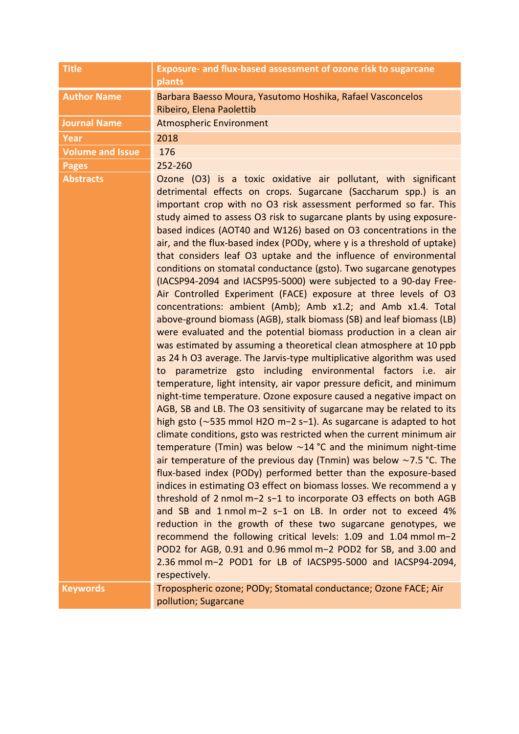| <b>Title</b>            | Exposure- and flux-based assessment of ozone risk to sugarcane<br>plants                                                                                                                                                                                                                                                                                                                                                                                                                                                                                                                                                                                                                                                                                                                                                                                                                                                                                                                                                                                                                                                                                                                                                                                                                                                                                                                                                                                                                                                                                                                                                                                                                                                                                                                                                                                                                                                                                                                                                                                                                                                                                                                                                       |
|-------------------------|--------------------------------------------------------------------------------------------------------------------------------------------------------------------------------------------------------------------------------------------------------------------------------------------------------------------------------------------------------------------------------------------------------------------------------------------------------------------------------------------------------------------------------------------------------------------------------------------------------------------------------------------------------------------------------------------------------------------------------------------------------------------------------------------------------------------------------------------------------------------------------------------------------------------------------------------------------------------------------------------------------------------------------------------------------------------------------------------------------------------------------------------------------------------------------------------------------------------------------------------------------------------------------------------------------------------------------------------------------------------------------------------------------------------------------------------------------------------------------------------------------------------------------------------------------------------------------------------------------------------------------------------------------------------------------------------------------------------------------------------------------------------------------------------------------------------------------------------------------------------------------------------------------------------------------------------------------------------------------------------------------------------------------------------------------------------------------------------------------------------------------------------------------------------------------------------------------------------------------|
| <b>Author Name</b>      | Barbara Baesso Moura, Yasutomo Hoshika, Rafael Vasconcelos<br>Ribeiro, Elena Paolettib                                                                                                                                                                                                                                                                                                                                                                                                                                                                                                                                                                                                                                                                                                                                                                                                                                                                                                                                                                                                                                                                                                                                                                                                                                                                                                                                                                                                                                                                                                                                                                                                                                                                                                                                                                                                                                                                                                                                                                                                                                                                                                                                         |
| <b>Journal Name</b>     | <b>Atmospheric Environment</b>                                                                                                                                                                                                                                                                                                                                                                                                                                                                                                                                                                                                                                                                                                                                                                                                                                                                                                                                                                                                                                                                                                                                                                                                                                                                                                                                                                                                                                                                                                                                                                                                                                                                                                                                                                                                                                                                                                                                                                                                                                                                                                                                                                                                 |
| <b>Year</b>             | 2018                                                                                                                                                                                                                                                                                                                                                                                                                                                                                                                                                                                                                                                                                                                                                                                                                                                                                                                                                                                                                                                                                                                                                                                                                                                                                                                                                                                                                                                                                                                                                                                                                                                                                                                                                                                                                                                                                                                                                                                                                                                                                                                                                                                                                           |
| <b>Volume and Issue</b> | 176                                                                                                                                                                                                                                                                                                                                                                                                                                                                                                                                                                                                                                                                                                                                                                                                                                                                                                                                                                                                                                                                                                                                                                                                                                                                                                                                                                                                                                                                                                                                                                                                                                                                                                                                                                                                                                                                                                                                                                                                                                                                                                                                                                                                                            |
| <b>Pages</b>            | 252-260                                                                                                                                                                                                                                                                                                                                                                                                                                                                                                                                                                                                                                                                                                                                                                                                                                                                                                                                                                                                                                                                                                                                                                                                                                                                                                                                                                                                                                                                                                                                                                                                                                                                                                                                                                                                                                                                                                                                                                                                                                                                                                                                                                                                                        |
| <b>Abstracts</b>        | Ozone (O3) is a toxic oxidative air pollutant, with significant<br>detrimental effects on crops. Sugarcane (Saccharum spp.) is an<br>important crop with no O3 risk assessment performed so far. This<br>study aimed to assess O3 risk to sugarcane plants by using exposure-<br>based indices (AOT40 and W126) based on O3 concentrations in the<br>air, and the flux-based index (PODy, where y is a threshold of uptake)<br>that considers leaf O3 uptake and the influence of environmental<br>conditions on stomatal conductance (gsto). Two sugarcane genotypes<br>(IACSP94-2094 and IACSP95-5000) were subjected to a 90-day Free-<br>Air Controlled Experiment (FACE) exposure at three levels of O3<br>concentrations: ambient (Amb); Amb x1.2; and Amb x1.4. Total<br>above-ground biomass (AGB), stalk biomass (SB) and leaf biomass (LB)<br>were evaluated and the potential biomass production in a clean air<br>was estimated by assuming a theoretical clean atmosphere at 10 ppb<br>as 24 h O3 average. The Jarvis-type multiplicative algorithm was used<br>parametrize gsto including environmental factors i.e. air<br>to<br>temperature, light intensity, air vapor pressure deficit, and minimum<br>night-time temperature. Ozone exposure caused a negative impact on<br>AGB, SB and LB. The O3 sensitivity of sugarcane may be related to its<br>high gsto ( $\sim$ 535 mmol H2O m-2 s-1). As sugarcane is adapted to hot<br>climate conditions, gsto was restricted when the current minimum air<br>temperature (Tmin) was below $\sim$ 14 °C and the minimum night-time<br>air temperature of the previous day (Tnmin) was below $\sim$ 7.5 °C. The<br>flux-based index (PODy) performed better than the exposure-based<br>indices in estimating O3 effect on biomass losses. We recommend a y<br>threshold of 2 nmol m-2 s-1 to incorporate O3 effects on both AGB<br>and SB and 1 nmol m-2 s-1 on LB. In order not to exceed 4%<br>reduction in the growth of these two sugarcane genotypes, we<br>recommend the following critical levels: 1.09 and 1.04 mmol m-2<br>POD2 for AGB, 0.91 and 0.96 mmol m-2 POD2 for SB, and 3.00 and<br>2.36 mmol m-2 POD1 for LB of IACSP95-5000 and IACSP94-2094, |
|                         | respectively.                                                                                                                                                                                                                                                                                                                                                                                                                                                                                                                                                                                                                                                                                                                                                                                                                                                                                                                                                                                                                                                                                                                                                                                                                                                                                                                                                                                                                                                                                                                                                                                                                                                                                                                                                                                                                                                                                                                                                                                                                                                                                                                                                                                                                  |
| <b>Keywords</b>         | Tropospheric ozone; PODy; Stomatal conductance; Ozone FACE; Air<br>pollution; Sugarcane                                                                                                                                                                                                                                                                                                                                                                                                                                                                                                                                                                                                                                                                                                                                                                                                                                                                                                                                                                                                                                                                                                                                                                                                                                                                                                                                                                                                                                                                                                                                                                                                                                                                                                                                                                                                                                                                                                                                                                                                                                                                                                                                        |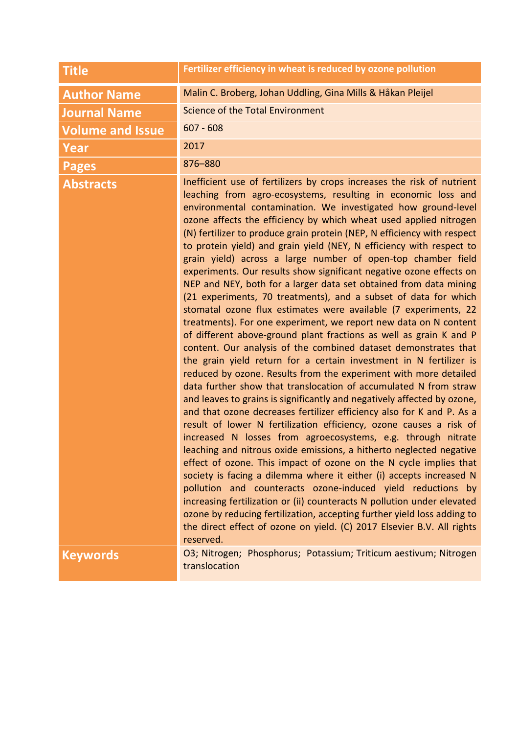| <b>Title</b>            | Fertilizer efficiency in wheat is reduced by ozone pollution                                                                                                                                                                                                                                                                                                                                                                                                                                                                                                                                                                                                                                                                                                                                                                                                                                                                                                                                                                                                                                                                                                                                                                                                                                                                                                                                                                                                                                                                                                                                                                                                                                                                                                                                                                                                                                                                                                                                                                           |
|-------------------------|----------------------------------------------------------------------------------------------------------------------------------------------------------------------------------------------------------------------------------------------------------------------------------------------------------------------------------------------------------------------------------------------------------------------------------------------------------------------------------------------------------------------------------------------------------------------------------------------------------------------------------------------------------------------------------------------------------------------------------------------------------------------------------------------------------------------------------------------------------------------------------------------------------------------------------------------------------------------------------------------------------------------------------------------------------------------------------------------------------------------------------------------------------------------------------------------------------------------------------------------------------------------------------------------------------------------------------------------------------------------------------------------------------------------------------------------------------------------------------------------------------------------------------------------------------------------------------------------------------------------------------------------------------------------------------------------------------------------------------------------------------------------------------------------------------------------------------------------------------------------------------------------------------------------------------------------------------------------------------------------------------------------------------------|
| <b>Author Name</b>      | Malin C. Broberg, Johan Uddling, Gina Mills & Håkan Pleijel                                                                                                                                                                                                                                                                                                                                                                                                                                                                                                                                                                                                                                                                                                                                                                                                                                                                                                                                                                                                                                                                                                                                                                                                                                                                                                                                                                                                                                                                                                                                                                                                                                                                                                                                                                                                                                                                                                                                                                            |
| <b>Journal Name</b>     | <b>Science of the Total Environment</b>                                                                                                                                                                                                                                                                                                                                                                                                                                                                                                                                                                                                                                                                                                                                                                                                                                                                                                                                                                                                                                                                                                                                                                                                                                                                                                                                                                                                                                                                                                                                                                                                                                                                                                                                                                                                                                                                                                                                                                                                |
| <b>Volume and Issue</b> | $607 - 608$                                                                                                                                                                                                                                                                                                                                                                                                                                                                                                                                                                                                                                                                                                                                                                                                                                                                                                                                                                                                                                                                                                                                                                                                                                                                                                                                                                                                                                                                                                                                                                                                                                                                                                                                                                                                                                                                                                                                                                                                                            |
| Year                    | 2017                                                                                                                                                                                                                                                                                                                                                                                                                                                                                                                                                                                                                                                                                                                                                                                                                                                                                                                                                                                                                                                                                                                                                                                                                                                                                                                                                                                                                                                                                                                                                                                                                                                                                                                                                                                                                                                                                                                                                                                                                                   |
| <b>Pages</b>            | 876-880                                                                                                                                                                                                                                                                                                                                                                                                                                                                                                                                                                                                                                                                                                                                                                                                                                                                                                                                                                                                                                                                                                                                                                                                                                                                                                                                                                                                                                                                                                                                                                                                                                                                                                                                                                                                                                                                                                                                                                                                                                |
| <b>Abstracts</b>        | Inefficient use of fertilizers by crops increases the risk of nutrient<br>leaching from agro-ecosystems, resulting in economic loss and<br>environmental contamination. We investigated how ground-level<br>ozone affects the efficiency by which wheat used applied nitrogen<br>(N) fertilizer to produce grain protein (NEP, N efficiency with respect<br>to protein yield) and grain yield (NEY, N efficiency with respect to<br>grain yield) across a large number of open-top chamber field<br>experiments. Our results show significant negative ozone effects on<br>NEP and NEY, both for a larger data set obtained from data mining<br>(21 experiments, 70 treatments), and a subset of data for which<br>stomatal ozone flux estimates were available (7 experiments, 22<br>treatments). For one experiment, we report new data on N content<br>of different above-ground plant fractions as well as grain K and P<br>content. Our analysis of the combined dataset demonstrates that<br>the grain yield return for a certain investment in N fertilizer is<br>reduced by ozone. Results from the experiment with more detailed<br>data further show that translocation of accumulated N from straw<br>and leaves to grains is significantly and negatively affected by ozone,<br>and that ozone decreases fertilizer efficiency also for K and P. As a<br>result of lower N fertilization efficiency, ozone causes a risk of<br>increased N losses from agroecosystems, e.g. through nitrate<br>leaching and nitrous oxide emissions, a hitherto neglected negative<br>effect of ozone. This impact of ozone on the N cycle implies that<br>society is facing a dilemma where it either (i) accepts increased N<br>pollution and counteracts ozone-induced yield reductions by<br>increasing fertilization or (ii) counteracts N pollution under elevated<br>ozone by reducing fertilization, accepting further yield loss adding to<br>the direct effect of ozone on yield. (C) 2017 Elsevier B.V. All rights<br>reserved. |
| <b>Keywords</b>         | O3; Nitrogen; Phosphorus; Potassium; Triticum aestivum; Nitrogen<br>translocation                                                                                                                                                                                                                                                                                                                                                                                                                                                                                                                                                                                                                                                                                                                                                                                                                                                                                                                                                                                                                                                                                                                                                                                                                                                                                                                                                                                                                                                                                                                                                                                                                                                                                                                                                                                                                                                                                                                                                      |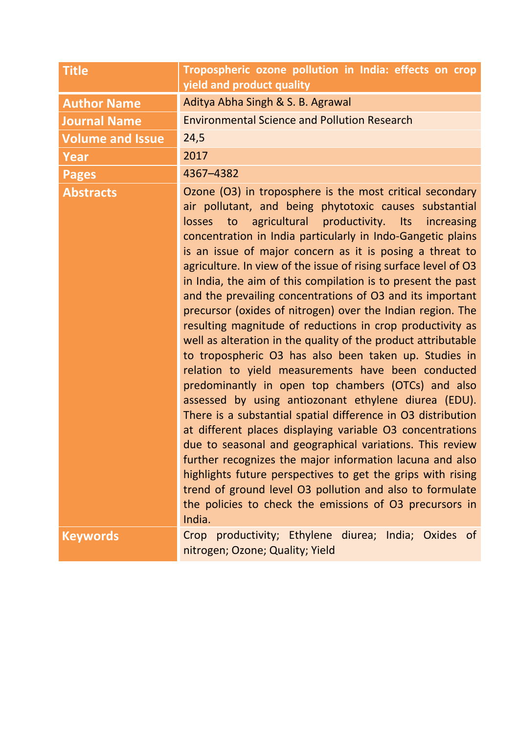| <b>Title</b>            | Tropospheric ozone pollution in India: effects on crop<br>yield and product quality                                                                                                                                                                                                                                                                                                                                                                                                                                                                                                                                                                                                                                                                                                                                                                                                                                                                                                                                                                                                                                                                                                                                                                                                                                                                                                      |
|-------------------------|------------------------------------------------------------------------------------------------------------------------------------------------------------------------------------------------------------------------------------------------------------------------------------------------------------------------------------------------------------------------------------------------------------------------------------------------------------------------------------------------------------------------------------------------------------------------------------------------------------------------------------------------------------------------------------------------------------------------------------------------------------------------------------------------------------------------------------------------------------------------------------------------------------------------------------------------------------------------------------------------------------------------------------------------------------------------------------------------------------------------------------------------------------------------------------------------------------------------------------------------------------------------------------------------------------------------------------------------------------------------------------------|
| <b>Author Name</b>      | Aditya Abha Singh & S. B. Agrawal                                                                                                                                                                                                                                                                                                                                                                                                                                                                                                                                                                                                                                                                                                                                                                                                                                                                                                                                                                                                                                                                                                                                                                                                                                                                                                                                                        |
| <b>Journal Name</b>     | <b>Environmental Science and Pollution Research</b>                                                                                                                                                                                                                                                                                                                                                                                                                                                                                                                                                                                                                                                                                                                                                                                                                                                                                                                                                                                                                                                                                                                                                                                                                                                                                                                                      |
| <b>Volume and Issue</b> | 24,5                                                                                                                                                                                                                                                                                                                                                                                                                                                                                                                                                                                                                                                                                                                                                                                                                                                                                                                                                                                                                                                                                                                                                                                                                                                                                                                                                                                     |
| <b>Year</b>             | 2017                                                                                                                                                                                                                                                                                                                                                                                                                                                                                                                                                                                                                                                                                                                                                                                                                                                                                                                                                                                                                                                                                                                                                                                                                                                                                                                                                                                     |
| <b>Pages</b>            | 4367-4382                                                                                                                                                                                                                                                                                                                                                                                                                                                                                                                                                                                                                                                                                                                                                                                                                                                                                                                                                                                                                                                                                                                                                                                                                                                                                                                                                                                |
| <b>Abstracts</b>        | Ozone (O3) in troposphere is the most critical secondary<br>air pollutant, and being phytotoxic causes substantial<br>agricultural productivity. Its increasing<br>losses<br>to<br>concentration in India particularly in Indo-Gangetic plains<br>is an issue of major concern as it is posing a threat to<br>agriculture. In view of the issue of rising surface level of O3<br>in India, the aim of this compilation is to present the past<br>and the prevailing concentrations of O3 and its important<br>precursor (oxides of nitrogen) over the Indian region. The<br>resulting magnitude of reductions in crop productivity as<br>well as alteration in the quality of the product attributable<br>to tropospheric O3 has also been taken up. Studies in<br>relation to yield measurements have been conducted<br>predominantly in open top chambers (OTCs) and also<br>assessed by using antiozonant ethylene diurea (EDU).<br>There is a substantial spatial difference in O3 distribution<br>at different places displaying variable O3 concentrations<br>due to seasonal and geographical variations. This review<br>further recognizes the major information lacuna and also<br>highlights future perspectives to get the grips with rising<br>trend of ground level O3 pollution and also to formulate<br>the policies to check the emissions of O3 precursors in<br>India. |
| <b>Keywords</b>         | Crop productivity; Ethylene diurea; India; Oxides of<br>nitrogen; Ozone; Quality; Yield                                                                                                                                                                                                                                                                                                                                                                                                                                                                                                                                                                                                                                                                                                                                                                                                                                                                                                                                                                                                                                                                                                                                                                                                                                                                                                  |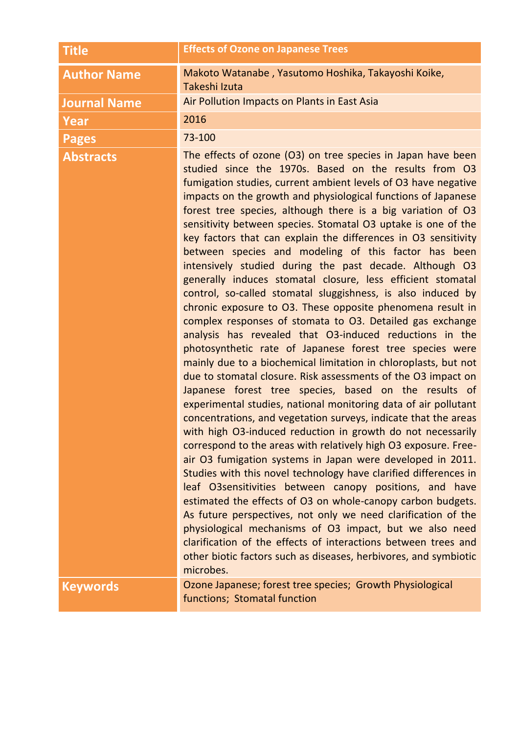| <b>Title</b>        | <b>Effects of Ozone on Japanese Trees</b>                                                                                                                                                                                                                                                                                                                                                                                                                                                                                                                                                                                                                                                                                                                                                                                                                                                                                                                                                                                                                                                                                                                                                                                                                                                                                                                                                                                                                                                                                                                                                                                                                                                                                                                                                                                                                                                                                                                                       |
|---------------------|---------------------------------------------------------------------------------------------------------------------------------------------------------------------------------------------------------------------------------------------------------------------------------------------------------------------------------------------------------------------------------------------------------------------------------------------------------------------------------------------------------------------------------------------------------------------------------------------------------------------------------------------------------------------------------------------------------------------------------------------------------------------------------------------------------------------------------------------------------------------------------------------------------------------------------------------------------------------------------------------------------------------------------------------------------------------------------------------------------------------------------------------------------------------------------------------------------------------------------------------------------------------------------------------------------------------------------------------------------------------------------------------------------------------------------------------------------------------------------------------------------------------------------------------------------------------------------------------------------------------------------------------------------------------------------------------------------------------------------------------------------------------------------------------------------------------------------------------------------------------------------------------------------------------------------------------------------------------------------|
| <b>Author Name</b>  | Makoto Watanabe, Yasutomo Hoshika, Takayoshi Koike,<br>Takeshi Izuta                                                                                                                                                                                                                                                                                                                                                                                                                                                                                                                                                                                                                                                                                                                                                                                                                                                                                                                                                                                                                                                                                                                                                                                                                                                                                                                                                                                                                                                                                                                                                                                                                                                                                                                                                                                                                                                                                                            |
| <b>Journal Name</b> | Air Pollution Impacts on Plants in East Asia                                                                                                                                                                                                                                                                                                                                                                                                                                                                                                                                                                                                                                                                                                                                                                                                                                                                                                                                                                                                                                                                                                                                                                                                                                                                                                                                                                                                                                                                                                                                                                                                                                                                                                                                                                                                                                                                                                                                    |
| Year                | 2016                                                                                                                                                                                                                                                                                                                                                                                                                                                                                                                                                                                                                                                                                                                                                                                                                                                                                                                                                                                                                                                                                                                                                                                                                                                                                                                                                                                                                                                                                                                                                                                                                                                                                                                                                                                                                                                                                                                                                                            |
| <b>Pages</b>        | 73-100                                                                                                                                                                                                                                                                                                                                                                                                                                                                                                                                                                                                                                                                                                                                                                                                                                                                                                                                                                                                                                                                                                                                                                                                                                                                                                                                                                                                                                                                                                                                                                                                                                                                                                                                                                                                                                                                                                                                                                          |
| <b>Abstracts</b>    | The effects of ozone (O3) on tree species in Japan have been<br>studied since the 1970s. Based on the results from O3<br>fumigation studies, current ambient levels of O3 have negative<br>impacts on the growth and physiological functions of Japanese<br>forest tree species, although there is a big variation of O3<br>sensitivity between species. Stomatal O3 uptake is one of the<br>key factors that can explain the differences in O3 sensitivity<br>between species and modeling of this factor has been<br>intensively studied during the past decade. Although O3<br>generally induces stomatal closure, less efficient stomatal<br>control, so-called stomatal sluggishness, is also induced by<br>chronic exposure to O3. These opposite phenomena result in<br>complex responses of stomata to O3. Detailed gas exchange<br>analysis has revealed that O3-induced reductions in the<br>photosynthetic rate of Japanese forest tree species were<br>mainly due to a biochemical limitation in chloroplasts, but not<br>due to stomatal closure. Risk assessments of the O3 impact on<br>Japanese forest tree species, based on the results of<br>experimental studies, national monitoring data of air pollutant<br>concentrations, and vegetation surveys, indicate that the areas<br>with high O3-induced reduction in growth do not necessarily<br>correspond to the areas with relatively high O3 exposure. Free-<br>air O3 fumigation systems in Japan were developed in 2011.<br>Studies with this novel technology have clarified differences in<br>leaf O3sensitivities between canopy positions, and have<br>estimated the effects of O3 on whole-canopy carbon budgets.<br>As future perspectives, not only we need clarification of the<br>physiological mechanisms of O3 impact, but we also need<br>clarification of the effects of interactions between trees and<br>other biotic factors such as diseases, herbivores, and symbiotic<br>microbes. |
| <b>Keywords</b>     | Ozone Japanese; forest tree species; Growth Physiological<br>functions; Stomatal function                                                                                                                                                                                                                                                                                                                                                                                                                                                                                                                                                                                                                                                                                                                                                                                                                                                                                                                                                                                                                                                                                                                                                                                                                                                                                                                                                                                                                                                                                                                                                                                                                                                                                                                                                                                                                                                                                       |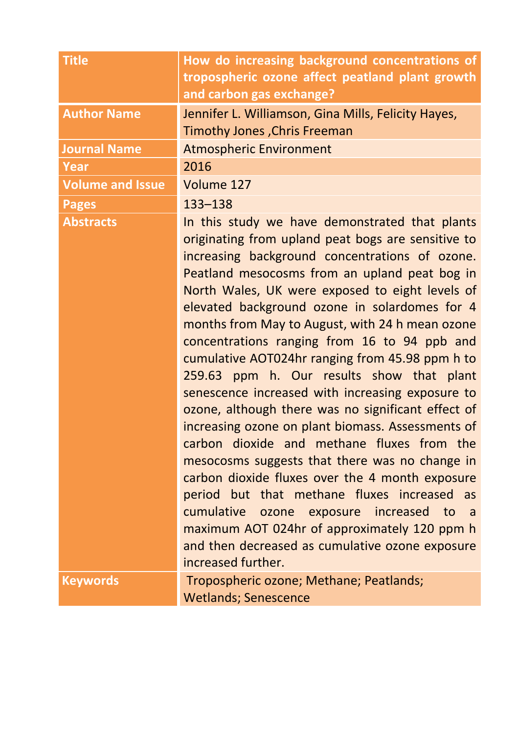| <b>Title</b>            | How do increasing background concentrations of<br>tropospheric ozone affect peatland plant growth                                                                                                                                                                                                                                                                                                                                                                                                                                                                                                                                                                                                                                                                                                                                                                                                                                                                                                                                                            |
|-------------------------|--------------------------------------------------------------------------------------------------------------------------------------------------------------------------------------------------------------------------------------------------------------------------------------------------------------------------------------------------------------------------------------------------------------------------------------------------------------------------------------------------------------------------------------------------------------------------------------------------------------------------------------------------------------------------------------------------------------------------------------------------------------------------------------------------------------------------------------------------------------------------------------------------------------------------------------------------------------------------------------------------------------------------------------------------------------|
|                         | and carbon gas exchange?                                                                                                                                                                                                                                                                                                                                                                                                                                                                                                                                                                                                                                                                                                                                                                                                                                                                                                                                                                                                                                     |
| <b>Author Name</b>      | Jennifer L. Williamson, Gina Mills, Felicity Hayes,                                                                                                                                                                                                                                                                                                                                                                                                                                                                                                                                                                                                                                                                                                                                                                                                                                                                                                                                                                                                          |
|                         | <b>Timothy Jones, Chris Freeman</b>                                                                                                                                                                                                                                                                                                                                                                                                                                                                                                                                                                                                                                                                                                                                                                                                                                                                                                                                                                                                                          |
| <b>Journal Name</b>     | <b>Atmospheric Environment</b>                                                                                                                                                                                                                                                                                                                                                                                                                                                                                                                                                                                                                                                                                                                                                                                                                                                                                                                                                                                                                               |
| <b>Year</b>             | 2016                                                                                                                                                                                                                                                                                                                                                                                                                                                                                                                                                                                                                                                                                                                                                                                                                                                                                                                                                                                                                                                         |
| <b>Volume and Issue</b> | Volume 127                                                                                                                                                                                                                                                                                                                                                                                                                                                                                                                                                                                                                                                                                                                                                                                                                                                                                                                                                                                                                                                   |
| <b>Pages</b>            | 133-138                                                                                                                                                                                                                                                                                                                                                                                                                                                                                                                                                                                                                                                                                                                                                                                                                                                                                                                                                                                                                                                      |
| <b>Abstracts</b>        | In this study we have demonstrated that plants<br>originating from upland peat bogs are sensitive to<br>increasing background concentrations of ozone.<br>Peatland mesocosms from an upland peat bog in<br>North Wales, UK were exposed to eight levels of<br>elevated background ozone in solardomes for 4<br>months from May to August, with 24 h mean ozone<br>concentrations ranging from 16 to 94 ppb and<br>cumulative AOT024hr ranging from 45.98 ppm h to<br>ppm h. Our results show that plant<br>259.63<br>senescence increased with increasing exposure to<br>ozone, although there was no significant effect of<br>increasing ozone on plant biomass. Assessments of<br>carbon dioxide and methane fluxes from the<br>mesocosms suggests that there was no change in<br>carbon dioxide fluxes over the 4 month exposure<br>period but that methane fluxes increased as<br>cumulative ozone exposure increased to<br>a a<br>maximum AOT 024hr of approximately 120 ppm h<br>and then decreased as cumulative ozone exposure<br>increased further. |
| <b>Keywords</b>         | Tropospheric ozone; Methane; Peatlands;<br><b>Wetlands; Senescence</b>                                                                                                                                                                                                                                                                                                                                                                                                                                                                                                                                                                                                                                                                                                                                                                                                                                                                                                                                                                                       |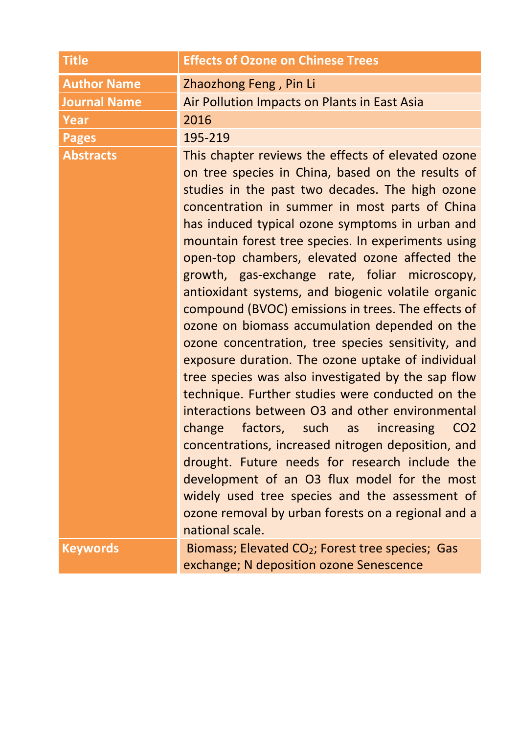| <b>Title</b>        | <b>Effects of Ozone on Chinese Trees</b>                                                                                                                                                                                                                                                                                                                                                                                                                                                                                                                                                                                                                                                                                                                                                                                                                                                                                                                                                                                                                                                                                                                                                                  |
|---------------------|-----------------------------------------------------------------------------------------------------------------------------------------------------------------------------------------------------------------------------------------------------------------------------------------------------------------------------------------------------------------------------------------------------------------------------------------------------------------------------------------------------------------------------------------------------------------------------------------------------------------------------------------------------------------------------------------------------------------------------------------------------------------------------------------------------------------------------------------------------------------------------------------------------------------------------------------------------------------------------------------------------------------------------------------------------------------------------------------------------------------------------------------------------------------------------------------------------------|
| <b>Author Name</b>  | Zhaozhong Feng, Pin Li                                                                                                                                                                                                                                                                                                                                                                                                                                                                                                                                                                                                                                                                                                                                                                                                                                                                                                                                                                                                                                                                                                                                                                                    |
| <b>Journal Name</b> | Air Pollution Impacts on Plants in East Asia                                                                                                                                                                                                                                                                                                                                                                                                                                                                                                                                                                                                                                                                                                                                                                                                                                                                                                                                                                                                                                                                                                                                                              |
| <b>Year</b>         | 2016                                                                                                                                                                                                                                                                                                                                                                                                                                                                                                                                                                                                                                                                                                                                                                                                                                                                                                                                                                                                                                                                                                                                                                                                      |
| <b>Pages</b>        | 195-219                                                                                                                                                                                                                                                                                                                                                                                                                                                                                                                                                                                                                                                                                                                                                                                                                                                                                                                                                                                                                                                                                                                                                                                                   |
| <b>Abstracts</b>    | This chapter reviews the effects of elevated ozone<br>on tree species in China, based on the results of<br>studies in the past two decades. The high ozone<br>concentration in summer in most parts of China<br>has induced typical ozone symptoms in urban and<br>mountain forest tree species. In experiments using<br>open-top chambers, elevated ozone affected the<br>growth, gas-exchange rate, foliar microscopy,<br>antioxidant systems, and biogenic volatile organic<br>compound (BVOC) emissions in trees. The effects of<br>ozone on biomass accumulation depended on the<br>ozone concentration, tree species sensitivity, and<br>exposure duration. The ozone uptake of individual<br>tree species was also investigated by the sap flow<br>technique. Further studies were conducted on the<br>interactions between O3 and other environmental<br>change factors, such as increasing<br>CO <sub>2</sub><br>concentrations, increased nitrogen deposition, and<br>drought. Future needs for research include the<br>development of an O3 flux model for the most<br>widely used tree species and the assessment of<br>ozone removal by urban forests on a regional and a<br>national scale. |
| <b>Keywords</b>     | Biomass; Elevated CO <sub>2</sub> ; Forest tree species; Gas<br>exchange; N deposition ozone Senescence                                                                                                                                                                                                                                                                                                                                                                                                                                                                                                                                                                                                                                                                                                                                                                                                                                                                                                                                                                                                                                                                                                   |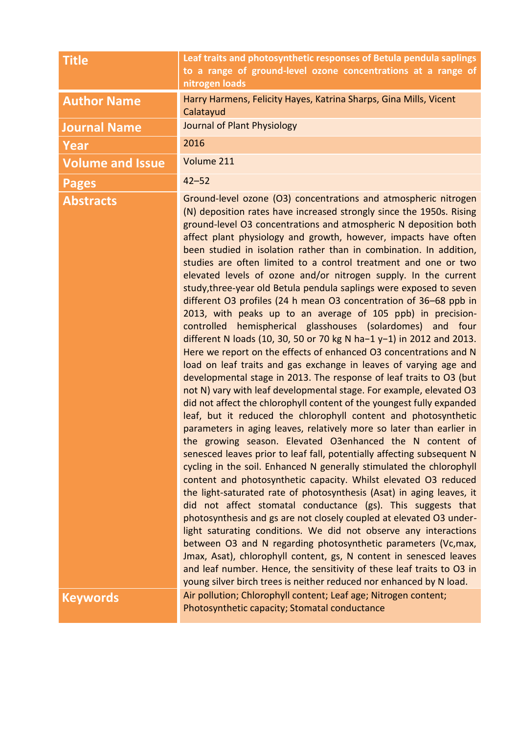| <b>Title</b>            | Leaf traits and photosynthetic responses of Betula pendula saplings<br>to a range of ground-level ozone concentrations at a range of<br>nitrogen loads                                                                                                                                                                                                                                                                                                                                                                                                                                                                                                                                                                                                                                                                                                                                                                                                                                                                                                                                                                                                                                                                                                                                                                                                                                                                                                                                                                                                                                                                                                                                                                                                                                                                                                                                                                                                                                                                                                                                                                                                                                                               |
|-------------------------|----------------------------------------------------------------------------------------------------------------------------------------------------------------------------------------------------------------------------------------------------------------------------------------------------------------------------------------------------------------------------------------------------------------------------------------------------------------------------------------------------------------------------------------------------------------------------------------------------------------------------------------------------------------------------------------------------------------------------------------------------------------------------------------------------------------------------------------------------------------------------------------------------------------------------------------------------------------------------------------------------------------------------------------------------------------------------------------------------------------------------------------------------------------------------------------------------------------------------------------------------------------------------------------------------------------------------------------------------------------------------------------------------------------------------------------------------------------------------------------------------------------------------------------------------------------------------------------------------------------------------------------------------------------------------------------------------------------------------------------------------------------------------------------------------------------------------------------------------------------------------------------------------------------------------------------------------------------------------------------------------------------------------------------------------------------------------------------------------------------------------------------------------------------------------------------------------------------------|
| <b>Author Name</b>      | Harry Harmens, Felicity Hayes, Katrina Sharps, Gina Mills, Vicent<br>Calatayud                                                                                                                                                                                                                                                                                                                                                                                                                                                                                                                                                                                                                                                                                                                                                                                                                                                                                                                                                                                                                                                                                                                                                                                                                                                                                                                                                                                                                                                                                                                                                                                                                                                                                                                                                                                                                                                                                                                                                                                                                                                                                                                                       |
| <b>Journal Name</b>     | Journal of Plant Physiology                                                                                                                                                                                                                                                                                                                                                                                                                                                                                                                                                                                                                                                                                                                                                                                                                                                                                                                                                                                                                                                                                                                                                                                                                                                                                                                                                                                                                                                                                                                                                                                                                                                                                                                                                                                                                                                                                                                                                                                                                                                                                                                                                                                          |
| Year                    | 2016                                                                                                                                                                                                                                                                                                                                                                                                                                                                                                                                                                                                                                                                                                                                                                                                                                                                                                                                                                                                                                                                                                                                                                                                                                                                                                                                                                                                                                                                                                                                                                                                                                                                                                                                                                                                                                                                                                                                                                                                                                                                                                                                                                                                                 |
| <b>Volume and Issue</b> | Volume 211                                                                                                                                                                                                                                                                                                                                                                                                                                                                                                                                                                                                                                                                                                                                                                                                                                                                                                                                                                                                                                                                                                                                                                                                                                                                                                                                                                                                                                                                                                                                                                                                                                                                                                                                                                                                                                                                                                                                                                                                                                                                                                                                                                                                           |
| <b>Pages</b>            | $42 - 52$                                                                                                                                                                                                                                                                                                                                                                                                                                                                                                                                                                                                                                                                                                                                                                                                                                                                                                                                                                                                                                                                                                                                                                                                                                                                                                                                                                                                                                                                                                                                                                                                                                                                                                                                                                                                                                                                                                                                                                                                                                                                                                                                                                                                            |
| <b>Abstracts</b>        | Ground-level ozone (O3) concentrations and atmospheric nitrogen<br>(N) deposition rates have increased strongly since the 1950s. Rising<br>ground-level O3 concentrations and atmospheric N deposition both<br>affect plant physiology and growth, however, impacts have often<br>been studied in isolation rather than in combination. In addition,<br>studies are often limited to a control treatment and one or two<br>elevated levels of ozone and/or nitrogen supply. In the current<br>study, three-year old Betula pendula saplings were exposed to seven<br>different O3 profiles (24 h mean O3 concentration of 36-68 ppb in<br>2013, with peaks up to an average of 105 ppb) in precision-<br>controlled hemispherical glasshouses (solardomes) and four<br>different N loads (10, 30, 50 or 70 kg N ha-1 y-1) in 2012 and 2013.<br>Here we report on the effects of enhanced O3 concentrations and N<br>load on leaf traits and gas exchange in leaves of varying age and<br>developmental stage in 2013. The response of leaf traits to O3 (but<br>not N) vary with leaf developmental stage. For example, elevated O3<br>did not affect the chlorophyll content of the youngest fully expanded<br>leaf, but it reduced the chlorophyll content and photosynthetic<br>parameters in aging leaves, relatively more so later than earlier in<br>the growing season. Elevated O3enhanced the N content of<br>senesced leaves prior to leaf fall, potentially affecting subsequent N<br>cycling in the soil. Enhanced N generally stimulated the chlorophyll<br>content and photosynthetic capacity. Whilst elevated O3 reduced<br>the light-saturated rate of photosynthesis (Asat) in aging leaves, it<br>did not affect stomatal conductance (gs). This suggests that<br>photosynthesis and gs are not closely coupled at elevated O3 under-<br>light saturating conditions. We did not observe any interactions<br>between O3 and N regarding photosynthetic parameters (Vc, max,<br>Jmax, Asat), chlorophyll content, gs, N content in senesced leaves<br>and leaf number. Hence, the sensitivity of these leaf traits to O3 in<br>young silver birch trees is neither reduced nor enhanced by N load. |
| <b>Keywords</b>         | Air pollution; Chlorophyll content; Leaf age; Nitrogen content;<br>Photosynthetic capacity; Stomatal conductance                                                                                                                                                                                                                                                                                                                                                                                                                                                                                                                                                                                                                                                                                                                                                                                                                                                                                                                                                                                                                                                                                                                                                                                                                                                                                                                                                                                                                                                                                                                                                                                                                                                                                                                                                                                                                                                                                                                                                                                                                                                                                                     |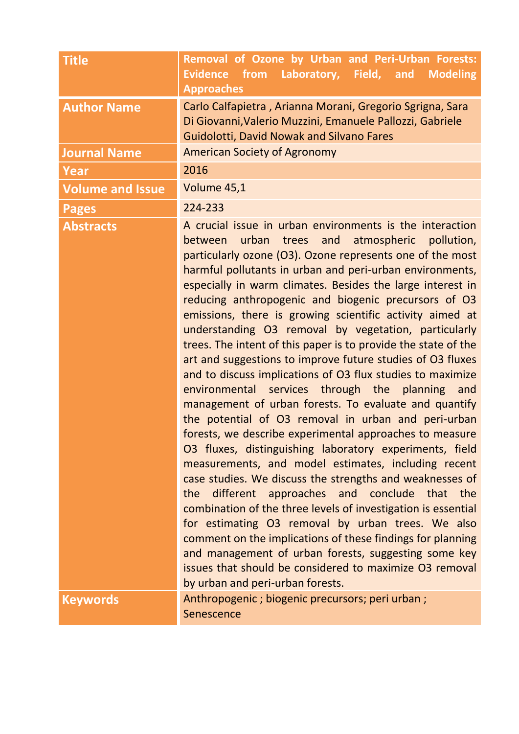| <b>Title</b>            | Removal of Ozone by Urban and Peri-Urban Forests:<br><b>Evidence</b><br>from Laboratory, Field, and Modeling<br><b>Approaches</b>                                                                                                                                                                                                                                                                                                                                                                                                                                                                                                                                                                                                                                                                                                                                                                                                                                                                                                                                                                                                                                                                                                                                                                                                                                                                                                                                                       |
|-------------------------|-----------------------------------------------------------------------------------------------------------------------------------------------------------------------------------------------------------------------------------------------------------------------------------------------------------------------------------------------------------------------------------------------------------------------------------------------------------------------------------------------------------------------------------------------------------------------------------------------------------------------------------------------------------------------------------------------------------------------------------------------------------------------------------------------------------------------------------------------------------------------------------------------------------------------------------------------------------------------------------------------------------------------------------------------------------------------------------------------------------------------------------------------------------------------------------------------------------------------------------------------------------------------------------------------------------------------------------------------------------------------------------------------------------------------------------------------------------------------------------------|
| <b>Author Name</b>      | Carlo Calfapietra, Arianna Morani, Gregorio Sgrigna, Sara<br>Di Giovanni, Valerio Muzzini, Emanuele Pallozzi, Gabriele<br><b>Guidolotti, David Nowak and Silvano Fares</b>                                                                                                                                                                                                                                                                                                                                                                                                                                                                                                                                                                                                                                                                                                                                                                                                                                                                                                                                                                                                                                                                                                                                                                                                                                                                                                              |
| <b>Journal Name</b>     | <b>American Society of Agronomy</b>                                                                                                                                                                                                                                                                                                                                                                                                                                                                                                                                                                                                                                                                                                                                                                                                                                                                                                                                                                                                                                                                                                                                                                                                                                                                                                                                                                                                                                                     |
| Year                    | 2016                                                                                                                                                                                                                                                                                                                                                                                                                                                                                                                                                                                                                                                                                                                                                                                                                                                                                                                                                                                                                                                                                                                                                                                                                                                                                                                                                                                                                                                                                    |
| <b>Volume and Issue</b> | Volume 45,1                                                                                                                                                                                                                                                                                                                                                                                                                                                                                                                                                                                                                                                                                                                                                                                                                                                                                                                                                                                                                                                                                                                                                                                                                                                                                                                                                                                                                                                                             |
| <b>Pages</b>            | 224-233                                                                                                                                                                                                                                                                                                                                                                                                                                                                                                                                                                                                                                                                                                                                                                                                                                                                                                                                                                                                                                                                                                                                                                                                                                                                                                                                                                                                                                                                                 |
| <b>Abstracts</b>        | A crucial issue in urban environments is the interaction<br>between urban trees and atmospheric pollution,<br>particularly ozone (O3). Ozone represents one of the most<br>harmful pollutants in urban and peri-urban environments,<br>especially in warm climates. Besides the large interest in<br>reducing anthropogenic and biogenic precursors of O3<br>emissions, there is growing scientific activity aimed at<br>understanding O3 removal by vegetation, particularly<br>trees. The intent of this paper is to provide the state of the<br>art and suggestions to improve future studies of O3 fluxes<br>and to discuss implications of O3 flux studies to maximize<br>environmental services through the planning<br>and<br>management of urban forests. To evaluate and quantify<br>the potential of O3 removal in urban and peri-urban<br>forests, we describe experimental approaches to measure<br>O3 fluxes, distinguishing laboratory experiments, field<br>measurements, and model estimates, including recent<br>case studies. We discuss the strengths and weaknesses of<br>the different approaches and conclude that the<br>combination of the three levels of investigation is essential<br>for estimating O3 removal by urban trees. We also<br>comment on the implications of these findings for planning<br>and management of urban forests, suggesting some key<br>issues that should be considered to maximize O3 removal<br>by urban and peri-urban forests. |
| <b>Keywords</b>         | Anthropogenic ; biogenic precursors; peri urban ;<br>Senescence                                                                                                                                                                                                                                                                                                                                                                                                                                                                                                                                                                                                                                                                                                                                                                                                                                                                                                                                                                                                                                                                                                                                                                                                                                                                                                                                                                                                                         |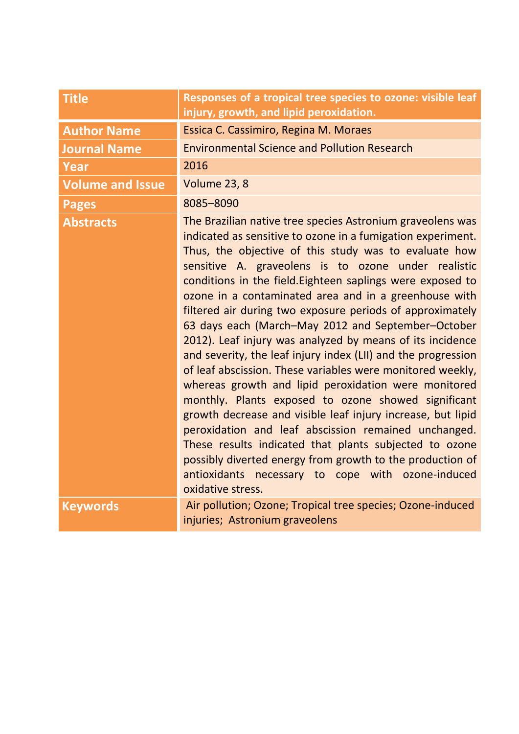| <b>Title</b>            | Responses of a tropical tree species to ozone: visible leaf<br>injury, growth, and lipid peroxidation.                                                                                                                                                                                                                                                                                                                                                                                                                                                                                                                                                                                                                                                                                                                                                                                                                                                                                                                                                                                                                 |
|-------------------------|------------------------------------------------------------------------------------------------------------------------------------------------------------------------------------------------------------------------------------------------------------------------------------------------------------------------------------------------------------------------------------------------------------------------------------------------------------------------------------------------------------------------------------------------------------------------------------------------------------------------------------------------------------------------------------------------------------------------------------------------------------------------------------------------------------------------------------------------------------------------------------------------------------------------------------------------------------------------------------------------------------------------------------------------------------------------------------------------------------------------|
| <b>Author Name</b>      | Essica C. Cassimiro, Regina M. Moraes                                                                                                                                                                                                                                                                                                                                                                                                                                                                                                                                                                                                                                                                                                                                                                                                                                                                                                                                                                                                                                                                                  |
| <b>Journal Name</b>     | <b>Environmental Science and Pollution Research</b>                                                                                                                                                                                                                                                                                                                                                                                                                                                                                                                                                                                                                                                                                                                                                                                                                                                                                                                                                                                                                                                                    |
| Year                    | 2016                                                                                                                                                                                                                                                                                                                                                                                                                                                                                                                                                                                                                                                                                                                                                                                                                                                                                                                                                                                                                                                                                                                   |
| <b>Volume and Issue</b> | Volume 23, 8                                                                                                                                                                                                                                                                                                                                                                                                                                                                                                                                                                                                                                                                                                                                                                                                                                                                                                                                                                                                                                                                                                           |
| <b>Pages</b>            | 8085-8090                                                                                                                                                                                                                                                                                                                                                                                                                                                                                                                                                                                                                                                                                                                                                                                                                                                                                                                                                                                                                                                                                                              |
| <b>Abstracts</b>        | The Brazilian native tree species Astronium graveolens was<br>indicated as sensitive to ozone in a fumigation experiment.<br>Thus, the objective of this study was to evaluate how<br>sensitive A. graveolens is to ozone under realistic<br>conditions in the field. Eighteen saplings were exposed to<br>ozone in a contaminated area and in a greenhouse with<br>filtered air during two exposure periods of approximately<br>63 days each (March-May 2012 and September-October<br>2012). Leaf injury was analyzed by means of its incidence<br>and severity, the leaf injury index (LII) and the progression<br>of leaf abscission. These variables were monitored weekly,<br>whereas growth and lipid peroxidation were monitored<br>monthly. Plants exposed to ozone showed significant<br>growth decrease and visible leaf injury increase, but lipid<br>peroxidation and leaf abscission remained unchanged.<br>These results indicated that plants subjected to ozone<br>possibly diverted energy from growth to the production of<br>antioxidants necessary to cope with ozone-induced<br>oxidative stress. |
| <b>Keywords</b>         | Air pollution; Ozone; Tropical tree species; Ozone-induced<br>injuries; Astronium graveolens                                                                                                                                                                                                                                                                                                                                                                                                                                                                                                                                                                                                                                                                                                                                                                                                                                                                                                                                                                                                                           |